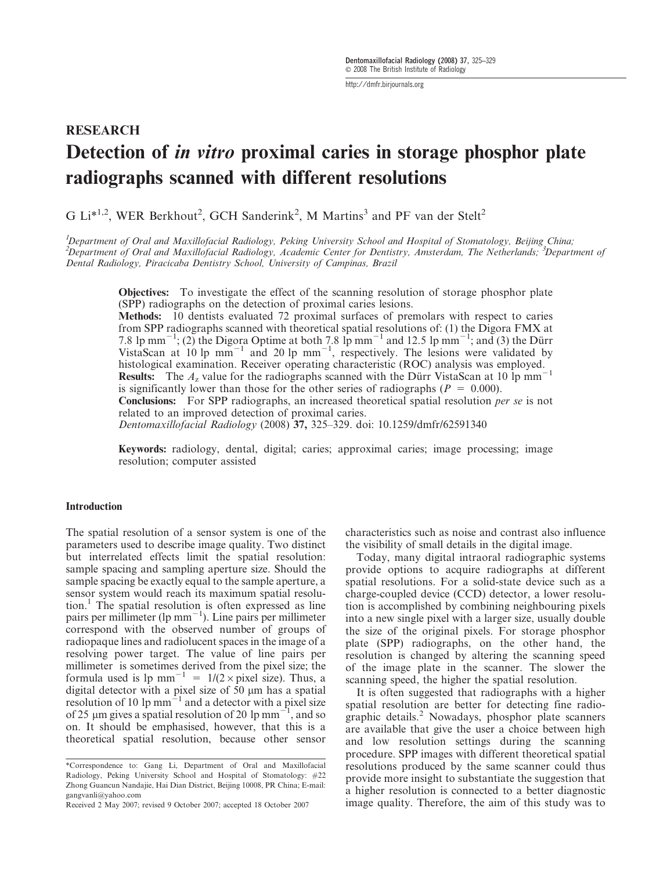http://dmfr.birjournals.org

# **RESEARCH** Detection of *in vitro* proximal caries in storage phosphor plate radiographs scanned with different resolutions

G Li<sup>\*1,2</sup>, WER Berkhout<sup>2</sup>, GCH Sanderink<sup>2</sup>, M Martins<sup>3</sup> and PF van der Stelt<sup>2</sup>

<sup>1</sup>Department of Oral and Maxillofacial Radiology, Peking University School and Hospital of Stomatology, Beijing China; <sup>2</sup>Department of Oral and Maxillofacial Radiology, Academic Center for Dentistry, Amsterdam, The Netherlands; <sup>3</sup>Department of Dental Radiology, Piracicaba Dentistry School, University of Campinas, Brazil

Objectives: To investigate the effect of the scanning resolution of storage phosphor plate (SPP) radiographs on the detection of proximal caries lesions.

Methods: 10 dentists evaluated 72 proximal surfaces of premolars with respect to caries from SPP radiographs scanned with theoretical spatial resolutions of: (1) the Digora FMX at 7.8 lp mm<sup>-1</sup>; (2) the Digora Optime at both 7.8 lp mm<sup>-1</sup> and 12.5 lp mm<sup>-1</sup>; and (3) the Dürr VistaScan at  $10 \text{ lp} \text{ mm}^{-1}$  and  $20 \text{ lp} \text{ mm}^{-1}$ , respectively. The lesions were validated by histological examination. Receiver operating characteristic (ROC) analysis was employed. **Results:** The  $A_z$  value for the radiographs scanned with the Dürr VistaScan at 10 lp mm<sup>-1</sup> is significantly lower than those for the other series of radiographs ( $P = 0.000$ ).

Conclusions: For SPP radiographs, an increased theoretical spatial resolution per se is not related to an improved detection of proximal caries.

Dentomaxillofacial Radiology (2008) 37, 325–329. doi: 10.1259/dmfr/62591340

Keywords: radiology, dental, digital; caries; approximal caries; image processing; image resolution; computer assisted

# Introduction

The spatial resolution of a sensor system is one of the parameters used to describe image quality. Two distinct but interrelated effects limit the spatial resolution: sample spacing and sampling aperture size. Should the sample spacing be exactly equal to the sample aperture, a sensor system would reach its maximum spatial resolu- $\text{tion}$ .<sup>1</sup> The spatial resolution is often expressed as line pairs per millimeter (lp  $mm^{-1}$ ). Line pairs per millimeter correspond with the observed number of groups of radiopaque lines and radiolucent spaces in the image of a resolving power target. The value of line pairs per millimeter is sometimes derived from the pixel size; the formula used is  $1 = 1/(2 \times pixel \text{ size})$ . Thus, a digital detector with a pixel size of 50 µm has a spatial resolution of 10 lp mm<sup> $-1$ </sup> and a detector with a pixel size of 25  $\mu$ m gives a spatial resolution of 20 lp mm<sup>-1</sup>, and so on. It should be emphasised, however, that this is a theoretical spatial resolution, because other sensor

characteristics such as noise and contrast also influence the visibility of small details in the digital image.

Today, many digital intraoral radiographic systems provide options to acquire radiographs at different spatial resolutions. For a solid-state device such as a charge-coupled device (CCD) detector, a lower resolution is accomplished by combining neighbouring pixels into a new single pixel with a larger size, usually double the size of the original pixels. For storage phosphor plate (SPP) radiographs, on the other hand, the resolution is changed by altering the scanning speed of the image plate in the scanner. The slower the scanning speed, the higher the spatial resolution.

It is often suggested that radiographs with a higher spatial resolution are better for detecting fine radiographic details.<sup>2</sup> Nowadays, phosphor plate scanners are available that give the user a choice between high and low resolution settings during the scanning procedure. SPP images with different theoretical spatial resolutions produced by the same scanner could thus provide more insight to substantiate the suggestion that a higher resolution is connected to a better diagnostic image quality. Therefore, the aim of this study was to

<sup>\*</sup>Correspondence to: Gang Li, Department of Oral and Maxillofacial Radiology, Peking University School and Hospital of Stomatology: *#*22 Zhong Guancun Nandajie, Hai Dian District, Beijing 10008, PR China; E-mail: gangvanli@yahoo.com

Received 2 May 2007; revised 9 October 2007; accepted 18 October 2007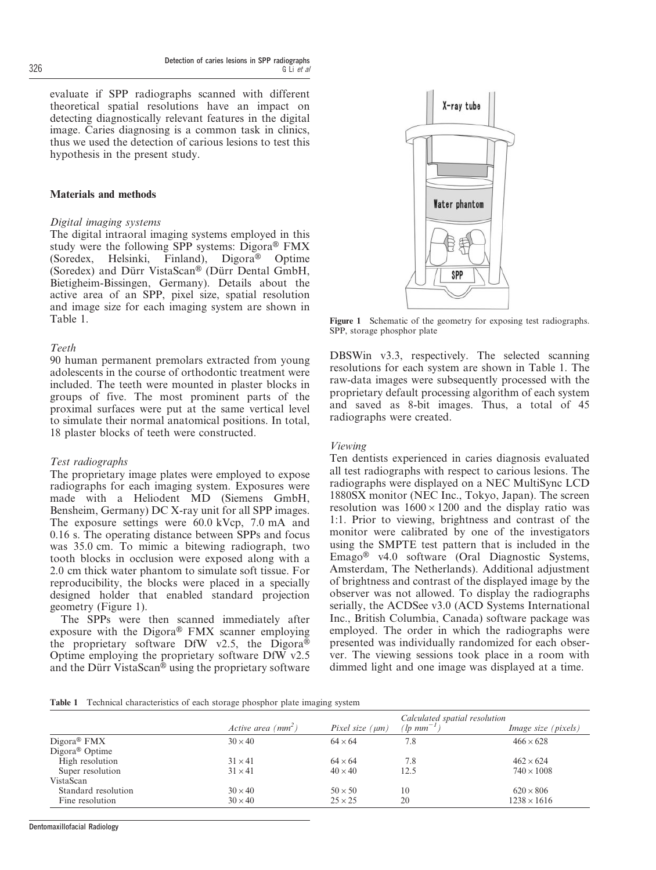evaluate if SPP radiographs scanned with different theoretical spatial resolutions have an impact on detecting diagnostically relevant features in the digital image. Caries diagnosing is a common task in clinics, thus we used the detection of carious lesions to test this hypothesis in the present study.

# Materials and methods

# Digital imaging systems

The digital intraoral imaging systems employed in this study were the following SPP systems: Digora<sup>®</sup> FMX (Soredex, Helsinki, Finland), Digora<sup>®</sup> Optime (Soredex) and Dürr VistaScan® (Dürr Dental GmbH, Bietigheim-Bissingen, Germany). Details about the active area of an SPP, pixel size, spatial resolution and image size for each imaging system are shown in Table 1.

# Teeth

90 human permanent premolars extracted from young adolescents in the course of orthodontic treatment were included. The teeth were mounted in plaster blocks in groups of five. The most prominent parts of the proximal surfaces were put at the same vertical level to simulate their normal anatomical positions. In total, 18 plaster blocks of teeth were constructed.

# Test radiographs

The proprietary image plates were employed to expose radiographs for each imaging system. Exposures were made with a Heliodent MD (Siemens GmbH, Bensheim, Germany) DC X-ray unit for all SPP images. The exposure settings were 60.0 kVcp, 7.0 mA and 0.16 s. The operating distance between SPPs and focus was 35.0 cm. To mimic a bitewing radiograph, two tooth blocks in occlusion were exposed along with a 2.0 cm thick water phantom to simulate soft tissue. For reproducibility, the blocks were placed in a specially designed holder that enabled standard projection geometry (Figure 1).

The SPPs were then scanned immediately after exposure with the Digora® FMX scanner employing the proprietary software DfW v2.5, the Digora $\overline{\Phi}$ Optime employing the proprietary software DfW v2.5 and the Dürr VistaScan<sup>®</sup> using the proprietary software



Figure 1 Schematic of the geometry for exposing test radiographs. SPP, storage phosphor plate

DBSWin v3.3, respectively. The selected scanning resolutions for each system are shown in Table 1. The raw-data images were subsequently processed with the proprietary default processing algorithm of each system and saved as 8-bit images. Thus, a total of 45 radiographs were created.

#### Viewing

Ten dentists experienced in caries diagnosis evaluated all test radiographs with respect to carious lesions. The radiographs were displayed on a NEC MultiSync LCD 1880SX monitor (NEC Inc., Tokyo, Japan). The screen resolution was  $1600 \times 1200$  and the display ratio was 1:1. Prior to viewing, brightness and contrast of the monitor were calibrated by one of the investigators using the SMPTE test pattern that is included in the  $Emago<sup>®</sup>$  v4.0 software (Oral Diagnostic Systems, Amsterdam, The Netherlands). Additional adjustment of brightness and contrast of the displayed image by the observer was not allowed. To display the radiographs serially, the ACDSee v3.0 (ACD Systems International Inc., British Columbia, Canada) software package was employed. The order in which the radiographs were presented was individually randomized for each observer. The viewing sessions took place in a room with dimmed light and one image was displayed at a time.

Table 1 Technical characteristics of each storage phosphor plate imaging system

|                            |                      |                      | Calculated spatial resolution   |                            |
|----------------------------|----------------------|----------------------|---------------------------------|----------------------------|
|                            | Active area $(mm^2)$ | Pixel size $(\mu m)$ | $\left( \ln \mu m^{-1} \right)$ | <i>Image size (pixels)</i> |
| $Digora^{\circledR}$ FMX   | $30 \times 40$       | $64 \times 64$       | 7.8                             | $466 \times 628$           |
| Digora <sup>®</sup> Optime |                      |                      |                                 |                            |
| High resolution            | $31 \times 41$       | $64 \times 64$       | 7.8                             | $462 \times 624$           |
| Super resolution           | $31 \times 41$       | $40 \times 40$       | 12.5                            | $740 \times 1008$          |
| VistaScan                  |                      |                      |                                 |                            |
| Standard resolution        | $30 \times 40$       | $50 \times 50$       | 10                              | $620 \times 806$           |
| Fine resolution            | $30 \times 40$       | $25 \times 25$       | 20                              | $1238 \times 1616$         |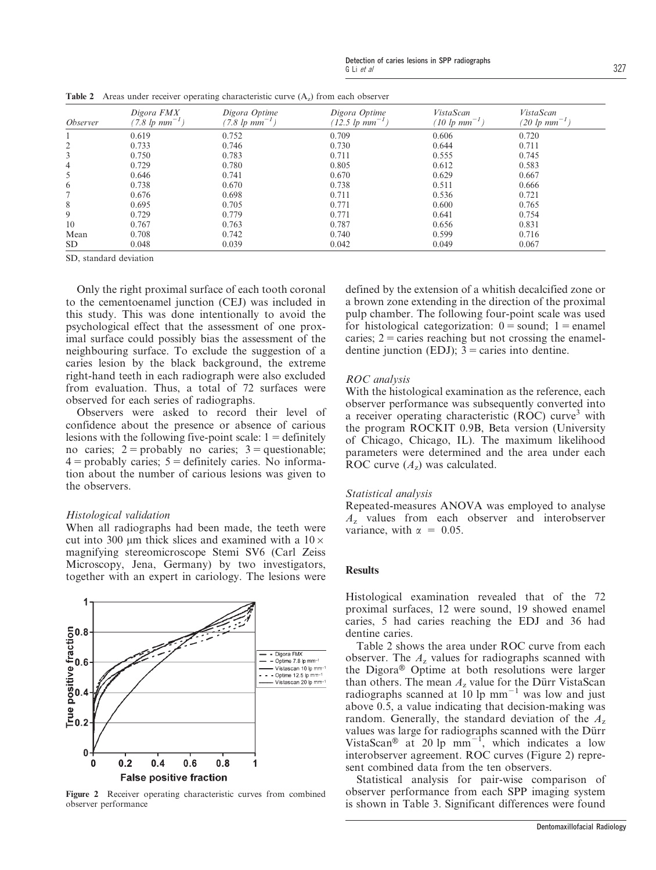| <i><b>Observer</b></i> | Digora FMX<br>(7.8 lp $mm^{-1}$ ) | Digora Optime<br>$(7.8 \;lp \;mm^{-1})$ | Digora Optime<br>$(12.5 \;lp \;mm^{-1})$ | VistaScan<br>$(10 \; \text{lp} \; \text{mm}^{-1})$ | VistaScan<br>$(20 \;lp \;mm^{-1})$ |
|------------------------|-----------------------------------|-----------------------------------------|------------------------------------------|----------------------------------------------------|------------------------------------|
|                        | 0.619                             | 0.752                                   | 0.709                                    | 0.606                                              | 0.720                              |
| 2                      | 0.733                             | 0.746                                   | 0.730                                    | 0.644                                              | 0.711                              |
| 3                      | 0.750                             | 0.783                                   | 0.711                                    | 0.555                                              | 0.745                              |
| 4                      | 0.729                             | 0.780                                   | 0.805                                    | 0.612                                              | 0.583                              |
| 5                      | 0.646                             | 0.741                                   | 0.670                                    | 0.629                                              | 0.667                              |
| 6                      | 0.738                             | 0.670                                   | 0.738                                    | 0.511                                              | 0.666                              |
|                        | 0.676                             | 0.698                                   | 0.711                                    | 0.536                                              | 0.721                              |
| 8                      | 0.695                             | 0.705                                   | 0.771                                    | 0.600                                              | 0.765                              |
| 9                      | 0.729                             | 0.779                                   | 0.771                                    | 0.641                                              | 0.754                              |
| 10                     | 0.767                             | 0.763                                   | 0.787                                    | 0.656                                              | 0.831                              |
| Mean                   | 0.708                             | 0.742                                   | 0.740                                    | 0.599                                              | 0.716                              |
| <b>SD</b>              | 0.048                             | 0.039                                   | 0.042                                    | 0.049                                              | 0.067                              |

**Table 2** Areas under receiver operating characteristic curve  $(A<sub>z</sub>)$  from each observer

SD, standard deviation

Only the right proximal surface of each tooth coronal to the cementoenamel junction (CEJ) was included in this study. This was done intentionally to avoid the psychological effect that the assessment of one proximal surface could possibly bias the assessment of the neighbouring surface. To exclude the suggestion of a caries lesion by the black background, the extreme right-hand teeth in each radiograph were also excluded from evaluation. Thus, a total of 72 surfaces were observed for each series of radiographs.

Observers were asked to record their level of confidence about the presence or absence of carious lesions with the following five-point scale:  $1 =$  definitely no caries;  $2 =$  probably no caries;  $3 =$  questionable;  $4 =$  probably caries;  $5 =$  definitely caries. No information about the number of carious lesions was given to the observers.

## Histological validation

When all radiographs had been made, the teeth were cut into 300  $\mu$ m thick slices and examined with a 10  $\times$ magnifying stereomicroscope Stemi SV6 (Carl Zeiss Microscopy, Jena, Germany) by two investigators, together with an expert in cariology. The lesions were



Figure 2 Receiver operating characteristic curves from combined observer performance

defined by the extension of a whitish decalcified zone or a brown zone extending in the direction of the proximal pulp chamber. The following four-point scale was used for histological categorization:  $0 =$ sound; 1 = enamel caries;  $2$  = caries reaching but not crossing the enameldentine junction (EDJ);  $3$  = caries into dentine.

## ROC analysis

With the histological examination as the reference, each observer performance was subsequently converted into a receiver operating characteristic  $(ROC)$  curve<sup>3</sup> with the program ROCKIT 0.9B, Beta version (University of Chicago, Chicago, IL). The maximum likelihood parameters were determined and the area under each ROC curve  $(A_z)$  was calculated.

#### Statistical analysis

Repeated-measures ANOVA was employed to analyse  $A<sub>z</sub>$  values from each observer and interobserver variance, with  $\alpha = 0.05$ .

#### Results

Histological examination revealed that of the 72 proximal surfaces, 12 were sound, 19 showed enamel caries, 5 had caries reaching the EDJ and 36 had dentine caries.

Table 2 shows the area under ROC curve from each observer. The  $A<sub>z</sub>$  values for radiographs scanned with the Digora® Optime at both resolutions were larger than others. The mean  $A_z$  value for the Dürr VistaScan radiographs scanned at 10 lp  $mm^{-1}$  was low and just above 0.5, a value indicating that decision-making was random. Generally, the standard deviation of the  $A<sub>z</sub>$ values was large for radiographs scanned with the Dürr VistaScan<sup>®</sup> at 20 lp mm<sup>-1</sup>, which indicates a low interobserver agreement. ROC curves (Figure 2) represent combined data from the ten observers.

Statistical analysis for pair-wise comparison of observer performance from each SPP imaging system is shown in Table 3. Significant differences were found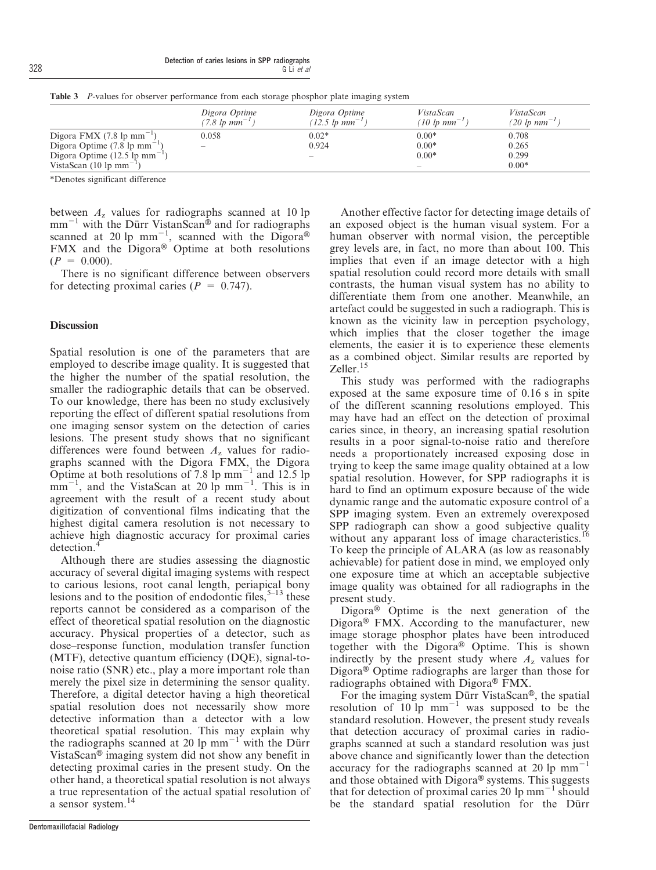|                                                       | Digora Optime<br>$(7.8 \text{ lb mm}^{-1})$ | Digora Optime<br>$(12.5 \text{ lb mm}^{-1})$ | VistaScan<br>(10 lp $mm^{-1}$ ) | VistaScan<br>$(20 \;lp \;mm^{-1})$ |
|-------------------------------------------------------|---------------------------------------------|----------------------------------------------|---------------------------------|------------------------------------|
| Digora FMX (7.8 lp mm <sup><math>^{-1}</math></sup> ) | 0.058                                       | $0.02*$                                      | $0.00*$                         | 0.708                              |
| Digora Optime $(7.8 \text{ lp mm}^{-1})$              | $\sim$                                      | 0.924                                        | $0.00*$                         | 0.265                              |
| Digora Optime $(12.5 \text{ lp mm}^{-1})$             |                                             | $\overline{\phantom{a}}$                     | $0.00*$                         | 0.299                              |
| VistaScan $(10 \text{ lp mm}^{-1})$                   |                                             |                                              | <b>Service</b>                  | $0.00*$                            |

Table 3 P-values for observer performance from each storage phosphor plate imaging system

\*Denotes significant difference

between  $A<sub>z</sub>$  values for radiographs scanned at 10 lp  $mm^{-1}$  with the Dürr VistanScan® and for radiographs scanned at 20 lp mm<sup>-1</sup>, scanned with the Digora® FMX and the  $Digora^{\circledR}$  Optime at both resolutions  $(P = 0.000)$ .

There is no significant difference between observers for detecting proximal caries ( $P = 0.747$ ).

## **Discussion**

Spatial resolution is one of the parameters that are employed to describe image quality. It is suggested that the higher the number of the spatial resolution, the smaller the radiographic details that can be observed. To our knowledge, there has been no study exclusively reporting the effect of different spatial resolutions from one imaging sensor system on the detection of caries lesions. The present study shows that no significant differences were found between  $A<sub>z</sub>$  values for radiographs scanned with the Digora FMX, the Digora Optime at both resolutions of 7.8 lp mm<sup> $-1$ </sup> and 12.5 lp  $\text{mm}^{-1}$ , and the VistaScan at 20 lp mm<sup>-1</sup>. This is in agreement with the result of a recent study about digitization of conventional films indicating that the highest digital camera resolution is not necessary to achieve high diagnostic accuracy for proximal caries detection.<sup>4</sup>

Although there are studies assessing the diagnostic accuracy of several digital imaging systems with respect to carious lesions, root canal length, periapical bony lesions and to the position of endodontic files,  $5-13$  these reports cannot be considered as a comparison of the effect of theoretical spatial resolution on the diagnostic accuracy. Physical properties of a detector, such as dose–response function, modulation transfer function (MTF), detective quantum efficiency (DQE), signal-tonoise ratio (SNR) etc., play a more important role than merely the pixel size in determining the sensor quality. Therefore, a digital detector having a high theoretical spatial resolution does not necessarily show more detective information than a detector with a low theoretical spatial resolution. This may explain why the radiographs scanned at 20 lp  $mm^{-1}$  with the Dürr Vista $Scan^{\circledR}$  imaging system did not show any benefit in detecting proximal caries in the present study. On the other hand, a theoretical spatial resolution is not always a true representation of the actual spatial resolution of a sensor system.<sup>14</sup>

Another effective factor for detecting image details of an exposed object is the human visual system. For a human observer with normal vision, the perceptible grey levels are, in fact, no more than about 100. This implies that even if an image detector with a high spatial resolution could record more details with small contrasts, the human visual system has no ability to differentiate them from one another. Meanwhile, an artefact could be suggested in such a radiograph. This is known as the vicinity law in perception psychology, which implies that the closer together the image elements, the easier it is to experience these elements as a combined object. Similar results are reported by Zeller.<sup>15</sup>

This study was performed with the radiographs exposed at the same exposure time of 0.16 s in spite of the different scanning resolutions employed. This may have had an effect on the detection of proximal caries since, in theory, an increasing spatial resolution results in a poor signal-to-noise ratio and therefore needs a proportionately increased exposing dose in trying to keep the same image quality obtained at a low spatial resolution. However, for SPP radiographs it is hard to find an optimum exposure because of the wide dynamic range and the automatic exposure control of a SPP imaging system. Even an extremely overexposed SPP radiograph can show a good subjective quality without any apparant loss of image characteristics.<sup>16</sup> To keep the principle of ALARA (as low as reasonably achievable) for patient dose in mind, we employed only one exposure time at which an acceptable subjective image quality was obtained for all radiographs in the present study.

Digora $\overline{P}$  Optime is the next generation of the Digora $\mathcal{B}$  FMX. According to the manufacturer, new image storage phosphor plates have been introduced together with the Digora® Optime. This is shown indirectly by the present study where  $A<sub>z</sub>$  values for Digora $\mathcal{D}$  Optime radiographs are larger than those for radiographs obtained with Digora® FMX.

For the imaging system Dürr VistaScan®, the spatial rot the maging system  $\frac{1}{2}$  was supposed to be the standard resolution. However, the present study reveals that detection accuracy of proximal caries in radiographs scanned at such a standard resolution was just above chance and significantly lower than the detection accuracy for the radiographs scanned at 20 lp  $mm^{-1}$ and those obtained with Digora $\mathcal{B}$  systems. This suggests that for detection of proximal caries 20  $\text{lp mm}^{-1}$  should be the standard spatial resolution for the Dürr